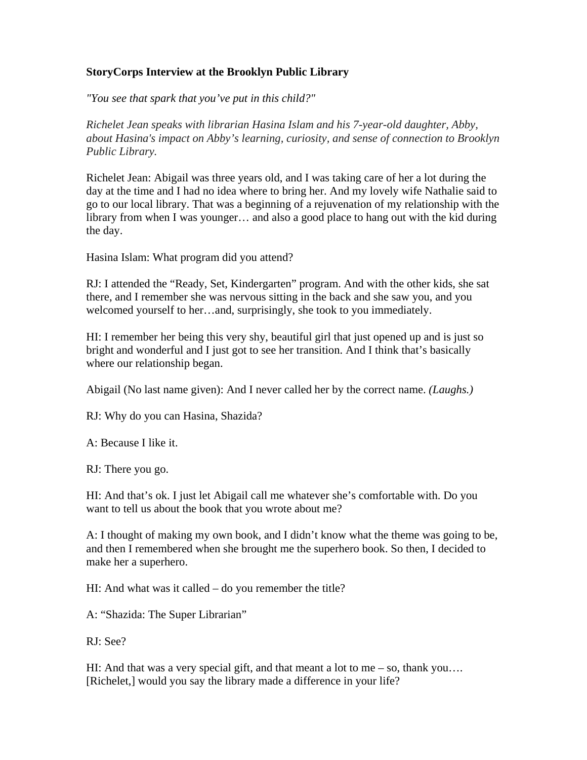## **StoryCorps Interview at the Brooklyn Public Library**

*"You see that spark that you've put in this child?"*

*Richelet Jean speaks with librarian Hasina Islam and his 7-year-old daughter, Abby, about Hasina's impact on Abby's learning, curiosity, and sense of connection to Brooklyn Public Library.*

Richelet Jean: Abigail was three years old, and I was taking care of her a lot during the day at the time and I had no idea where to bring her. And my lovely wife Nathalie said to go to our local library. That was a beginning of a rejuvenation of my relationship with the library from when I was younger… and also a good place to hang out with the kid during the day.

Hasina Islam: What program did you attend?

RJ: I attended the "Ready, Set, Kindergarten" program. And with the other kids, she sat there, and I remember she was nervous sitting in the back and she saw you, and you welcomed yourself to her…and, surprisingly, she took to you immediately.

HI: I remember her being this very shy, beautiful girl that just opened up and is just so bright and wonderful and I just got to see her transition. And I think that's basically where our relationship began.

Abigail (No last name given): And I never called her by the correct name. *(Laughs.)*

RJ: Why do you can Hasina, Shazida?

A: Because I like it.

RJ: There you go.

HI: And that's ok. I just let Abigail call me whatever she's comfortable with. Do you want to tell us about the book that you wrote about me?

A: I thought of making my own book, and I didn't know what the theme was going to be, and then I remembered when she brought me the superhero book. So then, I decided to make her a superhero.

HI: And what was it called – do you remember the title?

A: "Shazida: The Super Librarian"

RJ: See?

HI: And that was a very special gift, and that meant a lot to me – so, thank you…. [Richelet,] would you say the library made a difference in your life?